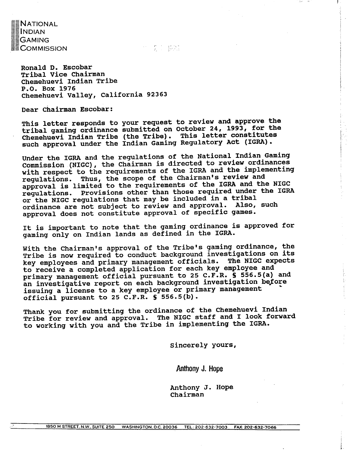**NATIONAL INDIAN GAMING COMMISSION** 

十二分 1 提試

**Ronald D. Escobar Tribal Vice Chairman ~hemehuevi Indian Tribe P.O. Box 1976**  Chemehuevi Valley, California 92363

**Dear chairman Escobar:** 

**This letter responds to your request to review and approve the tribal gaming ordinance submitted on October 24, 1993, for the**  Chemehuevi Indian Tribe (the Tribe). This letter constitutes **such approval under the Indian ~aming Regulatory Act (IGRA).** 

**Under the IGRA and the regulations of the National Indian Gaming Commission (NIGC), the Chairman is directed to review ordinances with respect to the requirements of the IGRA and the implementing regulations. Thus, the scope of the Chairman's review and approval is limited to the requirements of the IGRA and the NIGC regulations. Provisions other than those required under the IGRA or the NIGC regulations that may be included in a tribal ordinance are not subject to review and approval. Also, such approval does not constitute approval of specific games.** 

**It is important to note that the gaming ordinance is approved for gaming only on Indian lands as defined in the IGRA.** 

**With the Chairman's approval of the Tribe's gaming ordinance, the Tribe is now required to conduct background investigations on its key employees and primary management officials. The NIGC expects to receive a completed application for each key employee and primary management official pursuant to 25 C.F.R. S 556.5(a) and**  an investigative report on each background investigation before **issuing a license to a key employee or primary management official pursuant to 25 C.F.R. S 556.5(b).** 

**Thank you for submitting the ordinance of the Chemehuevi Indian Tribe for review and approval. The NIGC staff and I look forward to working with you and the Tribe in implementing the IGRA.** 

**sincerely yours,** 

 $\bar{\Sigma}$ 

Anthooy **J. Hope** 

**Anthony J. Hope chairman**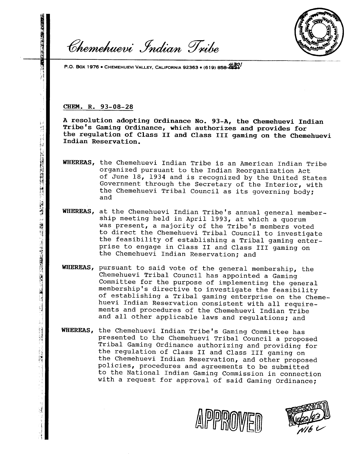

**P.O. BOX 1976 • CHEMEHUEVI VALLEY, CALIFORNIA 92363 • (619) 858-4534** 

Chemehuevi Indian Tribe

#### **CHEM. R.** 93-08-28

「大学のことに、そのことに、そのことに、このことに、「そのことに、「そのことに、「そのこと」

i<br>F

ことにより、アクタを引きますと反映事長が発表する事件について発表の戦で、1992年12月12日で、1992年12月1日開始の発表を受け、1992年12月1日、1993年12月1日、1999年12月1日 ( 1993年 1 1993年 12月1日 12月1日 12月1日 12月1日 12月1日 12月1日 12月1日 12月1日 12月1日 12月1日 12月1日 12月1日 12月1日 12月1日 12月1日 12月1日 12月1日 1

ا<br>الما

 $\bar{2}$ 

**A resolution adopting Ordinance No. 93-A, the Chemehuevi Indian Tribe's Gaming Ordinance, which authorizes and provides for the regulation of Class I1 and Class 111 gaming on the Chemehuevi Indian Reservation.** 

- WHEREAS, the Chemehuevi Indian Tribe is an American Indian Tribe organized pursuant to the Indian Reorganization Act of June 18, 1934 and is recognized by the United States Government through the Secretary of the Interior, with the Chemehuevi Tribal Council as its governing body; and
- WHEREAS, at the Chemehuevi Indian Tribe's annual general membership meeting held in April 1993, at which a quorum was present, a majority of the Tribe's members voted to direct the Chemehuevi Tribal Council to investigate the feasibility of establishing a Tribal gaming enterprise to engage in Class I1 and Class I11 gaming on the Chemehuevi Indian Reservation; and
- **WHEREAS,** pursuant to said vote of the general membership, the Chemehuevi Tribal Council has appointed a Gaming Committee for the purpose of implementing the general membership's directive to investigate the feasibility of establishing a Tribal gaming enterprise on the Chemehuevi Indian Reservation consistent with all requirements and procedures of the Chemehuevi Indian Tribe and all other applicable laws and regulations; and
- WHEREAS, the Chemehuevi Indian Tribe's Gaming Committee has presented to the Chemehuevi Tribal Council a proposed Tribal Gaming Ordinance authorizing and providing for the regulation of Class I1 and Class I11 gaming on the Chemehuevi Indian Reservation, and other proposed policies, procedures and agreements to be submitted to the National Indian Gaming Commission in connection with a request for approval of said Gaming Ordinance;



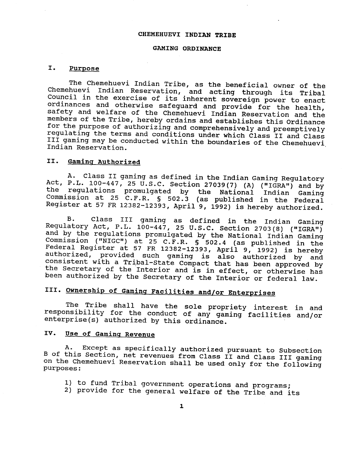#### **CHEMEHUEVI INDIAN TRIBE**

#### **GAMING ORDINANCE**

#### **I. Purpose**

The Chemehuevi Indian Tribe, as the beneficial owner of the Chemehuevi Indian Reservation, and acting through its Tribal Council in the exercise of its inherent sovereign power to enact ordinances and otherwise safeguard and provide for the health, safety and welfare of the Chemehuevi Indian Reservation and the members of the Tribe, hereby ordains and establishes this Ordinance for the purpose of authorizing and comprehensively and preemptively regulating the terms and conditions under which Class II and Class III gaming may be conducted within the boundaries of the Chemehuevi, Indian Reservation.

#### 11. Gaming Authorized

**A.** Class **I1** gaming as defined in the Indian Gaming Regulatory Act, P.L. 100-447, 25  $\tilde{U}$ .S.C. Section 27039(7) (A) ("IGRA") and by the regulations promulgated by the National Indian Caming Commission at 25 C.F.R. 6 502.3 (as published in the Federal Register at 57 FR 12382-12393, April 9, 1992) is hereby authorized.

B. Class I11 gaming as defined in the Indian Gaming Regulatory Act, P.L.  $100-447$ , 25 U.S.C. Section 2703(8) ("IGRA") and by the regulations promulgated by the National Indian Gaming Commission (IfNIGC") at 25 C.F.R. **5** 502.4 (as published in the Federal Register at 57 FR 12382-12393, April 9, 1992) is hereby authorized, provided such gaming is also authorized by and consistent with a Tribal-State Compact that has been approved by the Secretary of the Interior and is in effect, or otherwise has been authorized by the Secretary of the Interior or federal law.

### **111. Ownership of Gaminq ~acilities and/or Enterprises**

The Tribe shall have the sole propriety interest in and responsibility for the conduct of any gaming facilities and/or enterprise(s) authorized by this ordinance.

#### **IV. Use of Gaming Revenue**

**A. Except as specifically** authorized pursuant to subsection B of this Section, net revenues from Class **I1** and Class **I11** gaming n the Chemehuevi Reservation shall be used only for the following<br>urposes:

- 1) to fund Tribal government operations and programs;
- 2) provide for the general welfare of the Tribe and its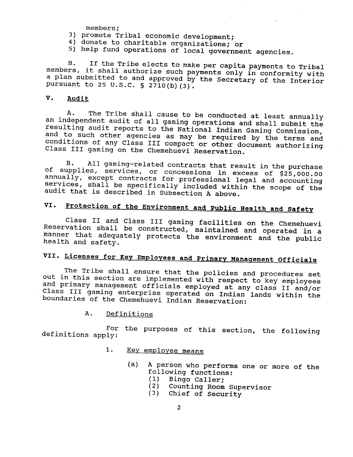members ;

- 3) promote Tribal economic development;
- 4) donate to charitable organizations; or
- 5) help fund operations of local government agencies.

B. If the Tribe elects to make per capita payments to Tribal members, it shall authorize such payments only in conformity with a plan submitted to and approved by the Secretary of the Interior pursuant to 25 **U.S.C,** § **2710(b) (3).** 

#### **V. Audit**

A. The Tribe shall cause to be conducted at least annually an independent audit of all gaming operations and shall submit the resulting audit reports to the National Indian Gaming Commission, and to such other agencies as may be required by the terms and to such other agencies as may be required by the terms and conditions of any Class III compact or other document sutherizing. Class **I11** gaming on the Chemehuevi Reservation.

B. All gaming-related contracts that result in the purchase of supplies, services, or concessions in excess of \$25,000.00 annually, except contracts for professional legal and accounting services, shall be specifically included within the scope of the audit that is described in Subsection A above.

# **VI. Protection of the Environment and public Health and Safety**

Class II and Class III gaming facilities on the Chemehuevi Reservation shall be constructed, maintained and operated in a manner that adequately protects the environment and the public health and safety.

## **VII. Licenses for Key Employees and Primary Manaqement Officials**

The Tribe shall ensure that the policies and procedures set out in this section are implemented with respect to key employees and primary management officials employed at any class I1 and/or Class **111** gaming enterprise operated on Indian lands within the boundaries of the Chemehuevi Indian Reservation:

#### A. Definitions

For the purposes of this section, the following definitions apply:

#### 1. Key employee means

- (a) A person who performs one or more of the person who performs and following functions:<br>(1) Bingo Caller;
	-
	- (2) Counting Room Supervisor
	- (3) Chief of Security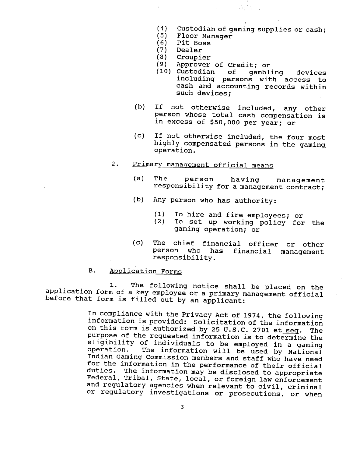**(4)** Custodian of gaming supplies or cash;

**大臣 (上) マンス** 

- (5) Floor Manager
- (6) Pit Boss
- (7) Dealer
- (8) Croupier
- Approver of Credit; or

 $\sqrt{2}$  ,  $\sqrt{2}$ 

- (10) Custodian of gambling devices including persons with access to cash and accounting records within such devices;
- (b) If not otherwise included, any other person whose total cash compensation is in excess of \$50,000 per year; or
- (c) If not otherwise included, the four most highly compensated persons in the gaming, operation.

#### 2. Primary management official means

- (a) The person having management responsibility for a management contract;
- (b) Any person who has authority:
	- (1) To hire and fire employees; or
	- To set up working policy for the gaming operation; or
- (c) The chief financial officer or other person who has financial management responsibility.

### B. Application Forms

1. The following notice shall be placed on the application form of a key employee or a primary management official before that form is filled out by an applicant:

> In compliance with the Privacy Act of 1974, the following information is provided: solicitation of the information on this form is authorized by 25 U.S.C. 2701 et seq. The purpose of the requested information is to determine the eligibility of individuals to be employed in a gaming<br>operation. The information will be used by National The information will be used by National Indian Gaming Commission members and staff who have need for the information in the performance of their official duties. The information may be disclosed to appropriate Federal, Tribal, State, local, or foreign law enforcement and regulatory agencies when relevant to civil, criminal or regulatory investigations or prosecutions, or when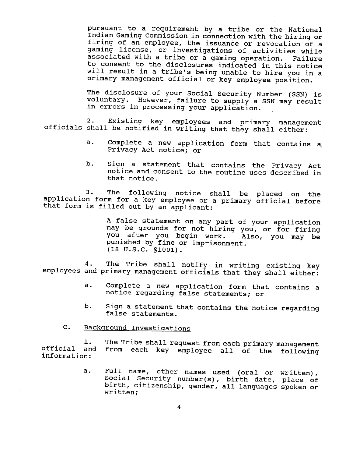pursuant to a requirement by a tribe or the National Indian Gaming Commission in connection with the hiring or firing of an employee, the issuance or revocation of a gaming license, or investigations of activities while associated with a tribe or a gaming operation. Failure to consent to the disclosures indicated in this notice will result in a tribe's being unable to hire you in a primary management official or key employee position.

The disclosure of your Social security Number (SSN) is voluntary. However, failure to supply a SSN may result in errors in processing your application.

2. Existing key employees and primary management officials shall be notified in writing that they shall either:

- a. Complete a new application form that contains a, Privacy Act notice; or
- b. Sign a statement that contains the Privacy Act notice and consent to the routine uses described in that notice.

3. The following notice shall be placed on the application form for a key employee or a primary official before that form is filled out by an applicant:

> A false statement on any part of your application may be grounds for not hiring you, or for firing you after you begin work. Also, you may be punished by fine or imprisonment. (18 U.S.C. **S1001).**

4. The Tribe shall notify in writing existing key employees and primary management officials that they shall either:

- a. Complete a new application form that contains a notice regarding false statements; or
- b. Sign a statement that contains the notice regarding false statements.

#### C. Background Investigations

1. The Tribe shall request from each primary management<br>and from each key employee all of the following official and from each key employee all of the following information:

> a. Full name, other names used (oral or written), Social Security number(s), birth date, place of birth, citizenship, gender, all languages spoken or written;

> > $\overline{\mathbf{4}}$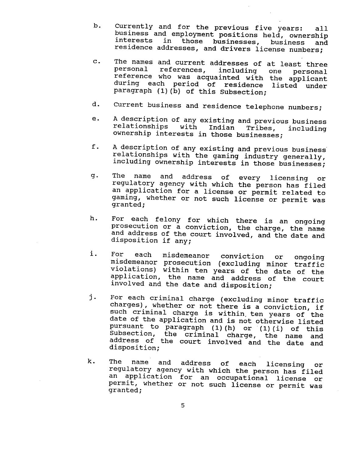- Currently and for the previous five years: all b. business and employment positions held, ownership interests in those businesses, business and residence addresses, and drivers license numbers;
- The names and current addresses of at least three  $\mathbf{c}$ . personal references, including one personal personal references, including one personal<br>reference who was acquainted with the applicant during each period of residence listed under paragraph (1)(b) of this Subsection;
- Current business and residence telephone numbers; d.
- A description of any existing and previous business e. relationships with Indian Tribes, including ownership interests in those businesses;
- f. A description of any existing and previous business' relationships with the gaming industry generally, including ownership interests in those businesses;
- g. The name and address of every licensing or regulatory agency with which the person has filed an application for a license or permit related to gaming, whether or not such license or permit was granted;
- For each felony for which there is an ongoing h. prosecution or a conviction, the charge, the name and address of the court involved, and the date and disposition if any;
- i. For each misdemeanor conviction or ongoing misdemeanor prosecution (excluding minor traffic violat'ions) within ten years of the date of the application, the name and address of the court involved and the date and disposition;
- For each criminal charge (excluding minor traffic j. charges), whether or not there is a conviction, if such criminal charge is within, ten years of the date of the application and is not otherwise listed pursuant to paragraph (1) (h) or (1) (i) of this subsection, the criminal charge, the name and address of the court involved and the date and disposition;
- k. The name and address of each licensing or regulatory agency with which the person has filed an application for an occupational license or permit, whether or not such license or permit was granted;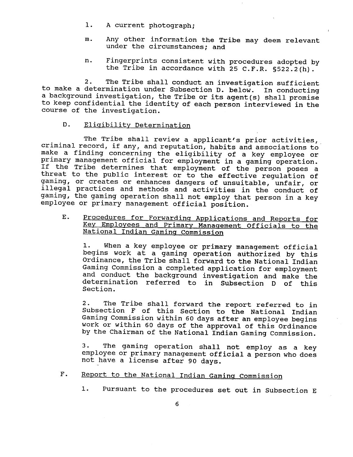- 1. A current photograph;
- m. Any other information the Tribe may deem relevant under the circumstances; and
- n. Fingerprints consistent with procedures adopted by the Tribe in accordance with 25 **C.F.R.** §522.2(h).

2. The Tribe shall conduct an investigation sufficient to make a determination under Subsection D. below. In conducting a background investigation, the Tribe or its agent (s) shall promise to keep confidential the identity of each person interviewed in the course of the investigation.

#### D. Eligibility Determination

The Tribe shall review a applicant's prior activities, criminal record, if any, and reputation, habits and associations to make a finding concerning the eligibility of a key employee or primary management official for employment in a gaming operation. If the Tribe determines that employment of the person poses a threat to the public interest or to the effective regulation of gaming, or creates or enhances dangers of unsuitable, unfair, or illegal practices and methods and activities in the conduct of gaming, the gaming operation shall not employ that person in a key employee or primary management official position.

E. Procedures for Forwarding Applications and Reports for **Kev** Employees and Primarv Manaaement officials to the National Indian Gaming Commission

**1.** When a key employee or primary management official begins work at a gaming operation authorized by this Ordinance, the Tribe shall forward to the National Indian Gaming Commission a completed application for employment and conduct the background investigation and make the determination referred to in subsection D of this Section.

2. The Tribe shall forward the report referred to in Subsection **F** of this Section to the National Indian Gaming Commission within 60 days after an employee begins work or within 60 days of the approval of this Ordinance by the chairman of the National Indian Gaming commission.

3. The gaming operation shall not employ as a key employee or primary management official a person who does not have a license after 90 days.

F. Report to the National Indian Gaming Commission

1. Pursuant to the procedures set out in Subsection E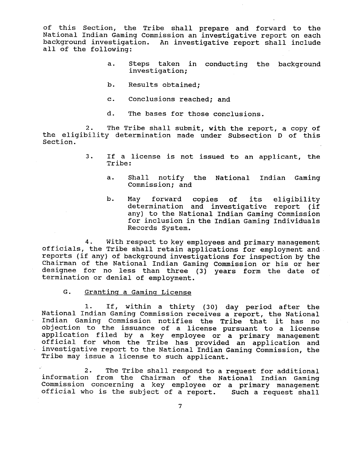of this Section, the Tribe shall prepare and forward to the National Indian Gaming Commission an investigative report on each background investigation. An investigative report shall include all of the following:

- a. Steps taken in conducting the background investigation;
- b. Results obtained;
- c. Conclusions reached; and
- d. The bases for those conclusions.

2. The Tribe shall submit, with the report, a copy of the eligibility determination made under subsection D of this Section.

- 3. If a license is not issued to an applicant, the Tribe:
	- a. Shall notify the National Indian Gaming Commission; and
	- b. May forward copies of its eligibility determination and investigative report (if any) to the National Indian Gaming Commission for inclusion in the Indian Gaming Individuals Records System.

**4.** With respect to key employees and primary management officials, the Tribe shall retain applications for employment and reports (if any) of background investigations for inspection by the Chairman of the National Indian Gaming Commission or his or her designee for no less than three (3) years form the date of termination or denial of employment.

G. Grantinq a Gaminq License

1. If, within a thirty (30) day period after the National Indian Gaming Commission receives a report, the National Indian Gaming Commission notifies the Tribe that it has no objection to the issuance of a license pursuant to a license application filed by a key employee or a primary management official for whom the Tribe has provided an application and investigative report to the National Indian Gaming Commission, the Tribe may issue a license to such applicant.

**2.** The Tribe shall respond to a request for additional information from the Chairman of the National Indian Gaming Commission concerning a key employee or a primary management official who is the subject of a report. Such a request shall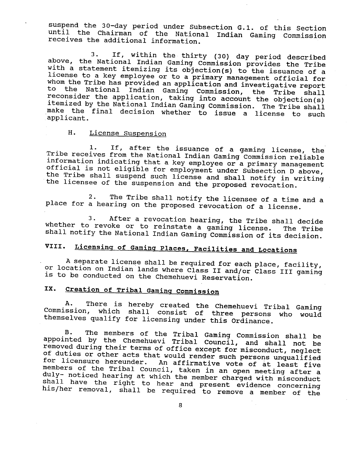suspend the 30-day period under Subsection G.1. of this Section until the Chairman of the National Indian Gaming Commission receives the additional information.

3. If, within the thirty (30) day period described above, the National Indian Gaming Commission provides the Tribe with a statement itemizing its objection(s) to the issuance of a license to a key employee or to a primary management official for whom the Tribe has provided an application and investigative report to the National Indian Gaming Commission, the Tribe shall reconsider the application, taking into account the objection(s) itemized by the National Indian Gaming Commission. The Tribe shall make the final decision whether to issue a license to such applicant.

#### H. License Suspension

1. If, after the issuance of a gaming license, the Tribe receives from the National Indian Gaming Commission reliable information indicating that a key employee or a primary management official is not eligible for employment under Subsection D above, the Tribe shall suspend such license and shall notify in writing the licensee of the suspension and the proposed revocation.

2. The Tribe shall notify the licensee of a time and a place for a hearing on the proposed revocation of a license.

3. After a revocation hearing, the Tribe shall decide whether to revoke or to reinstate a gaming license. The Tribe shall notify the National Indian Gaming Commission of its decision.

# **VIII. Licensinq of Gamins Places, Facilities and Locations**

A separate license shall be required for each place, facility, or location on Indian lands where Class I1 and/or Class I11 gaming is to be conducted on the Chemehuevi Reservation.

### IX. Creation of **Tribal Gaming Commission**

There is hereby created the Chemehuevi Tribal Gaming Commission, which shall consist of three persons who would themselves qualify for licensing under this Ordinance.

B. The members of the Tribal Gaming Commission shall be appointed by the Chemehuevi Tribal Council, and shall not be removed during their terms of office except for misconduct, neglect of duties or other acts that would render such personalities or other acts that would render such persons unmulified or licensure hereunder. An affirmative vote of at least five for licensure hereunder. An affirmative vote of at least five<br>members of the Tribal Council, taken in an open meeting after a duly- noticed hearing at which the member charged with misconduct shall have the right to hear and present evidence concerning his/her removal, shall be required to remove a member of the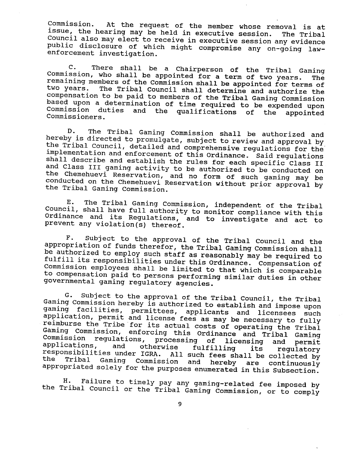Commission. At the request of the member whose removal is at issue, the hearing may be held in executive session. The Tribal Council also may elect to receive in executive session any evidence public disclosure of which might compromise any on-going lawenforcement investigation.

C. There shall be a Chairperson of the Tribal Gaming Commission, who shall be appointed for a term of two years. The remaining members of the Commission shall be appointed for terms of<br>two vears. The Tribal Council shall determine and authorize the The Tribal Council shall determine and authorize the compensation to be paid to members of the Tribal Gaming Commission based upon a determination of time required to be expended upon Commission duties and the qualifications of the appointed Commission duties and the qualifications of the<br>Commissioners.

D. The Tribal Gaming Commission shall be authorized and hereby is directed to promulgate, subject to review and approval by the Tribal Council, detailed and comprehensive regulations for the implementation and enforcement of this Ordinance. Said regulations shall describe and establish the rules for each specific Class **I1**  and Class **I11** gaming activity to be authorized to be conducted on the Chemehuevi Reservation, and no form of such gaming may be conducted on the Chemehuevi Reservation without prior approval by the Tribal Gaming Commission.

E. The Tribal Gaming Commission, independent of the Tribal Council, shall have full authority to monitor compliance with this Ordinance and its Regulations, and to investigate and act to prevent any violation(s) thereof.

F. Subject to the approval of the Tribal Council and the appropriation of funds therefor, the Tribal Gaming Commission shall be authorized to employ such staff as reasonably may be required to fulfill its responsibilities under this Ordinance. Compensation of Commission employees shall be limited to that which is comparable to compensation paid to persons performing similar duties in other governmental gaming regulatory agencies.

G. Subject to the approval of the Tribal Council, the Tribal Gaming Commission hereby is authorized to establish and impose upon gaming facilities, permittees, applicants and licensees such application, permit and license fees as may be necessary to fully reimburse the Tribe 'for its actual costs of operating the Tribal Gaming Commission, enforcing this Ordinance and Tribal Gaming Ommission requlations, processing of licensing and permit pplications, and otherwise fulfilling its regulatory applications, and otherwise fulfilling its regulatory<br>responsibilities under IGRA. All such fees shall be collected by<br>the Tribal Gaming Commission and best and the collected by nsibilities under IGRA. All such fees shall be collected by<br>Tribal Gaming Commission and hereby are continuously appropriated solely for the purposes enumerated in this Subsection.

H. Failure to timely pay any gaming-related fee imposed by the Tribal Council or the Tribal Gaming Commission, or to comply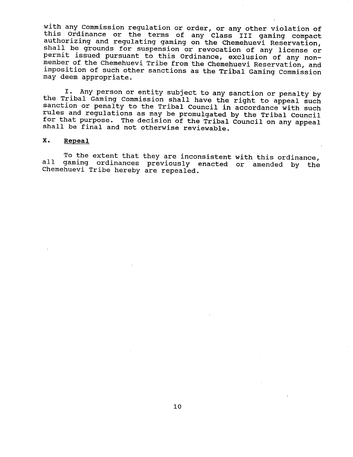with any Commission regulation or order, or any other violation of this Ordinance or the terms of any Class **I11** gaming compact authorizing and regulating gaming on the Chemehuevi Reservation, shall be grounds for suspension or revocation of any license or permit issued pursuant to this Ordinance, exclusion of any nonmember of the Chemehuevi Tribe from the Chemehuevi Reservation, and imposition of such other sanctions as the Tribal Gaming Commission may deem appropriate.

**I.** Any person or entity subject to any sanction or penalty by the Tribal Gaming Commission shall have the right to appeal such sanction or penalty to the Tribal Council in accordance with such rules and regulations as may be promulgated by the Tribal Council for that purpose. The decision of the Tribal Council on any appeal shall be final and not otherwise reviewable.

#### **X. Repeal**

To the extent that they are inconsistent with this ordinance, all gaming ordinances previously enacted or amended by the Chemehuevi Tribe hereby are repealed.